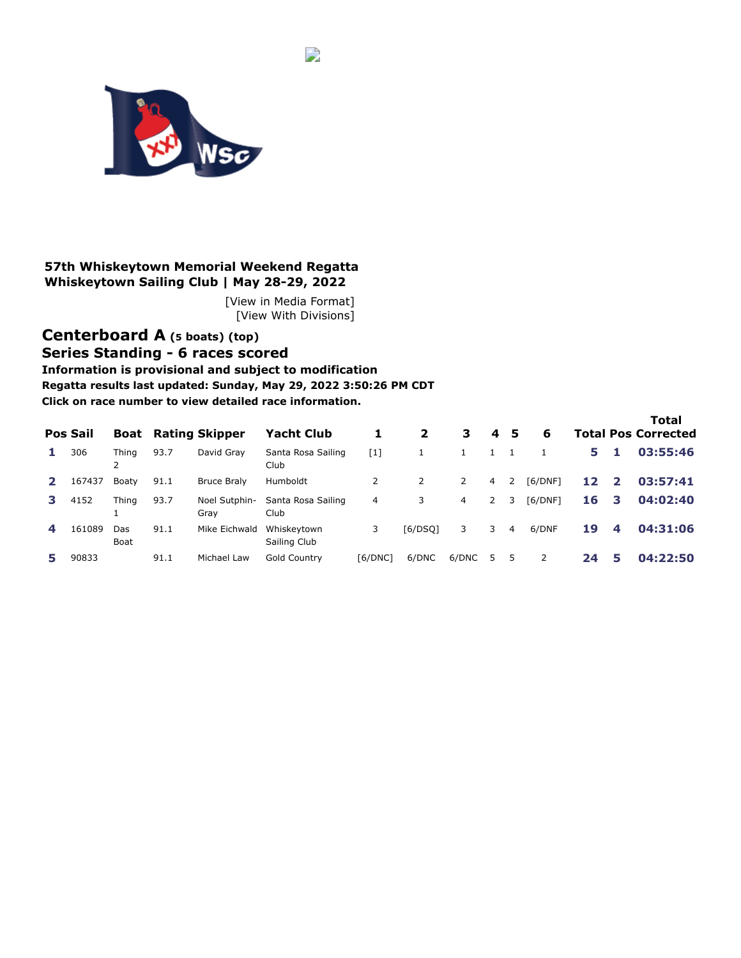<span id="page-0-0"></span>

### **57th Whiskeytown Memorial Weekend Regatta Whiskeytown Sailing Club | May 28-29, 2022**

[\[View in Media Format\]](https://www.regattanetwork.com/clubmgmt/applet_regatta_results.php?regatta_id=23645&preview=1&media_format=1) [[View With Divisions\]](https://www.regattanetwork.com/clubmgmt/applet_regatta_results.php?regatta_id=23645&preview=1&show_divisions=1)

 $\overline{\phantom{a}}$ 

# **[Centerboard A](https://www.regattanetwork.com/clubmgmt/applet_regatta_results.php?regatta_id=23645&preview=1&limit_fleet=Centerboard+A) (5 boats) [\(top\)](#page-0-0) Series Standing - 6 races scored**

**Information is provisional and subject to modification Regatta results last updated: Sunday, May 29, 2022 3:50:26 PM CDT Click on race number to view detailed race information.**

|    | <b>Pos Sail</b> |             |      | <b>Boat</b> Rating Skipper | <b>Yacht Club</b>           |                | $\mathbf{2}$   | 3            | 4              | -5 | 6       |    |    | <b>Total</b><br><b>Total Pos Corrected</b> |
|----|-----------------|-------------|------|----------------------------|-----------------------------|----------------|----------------|--------------|----------------|----|---------|----|----|--------------------------------------------|
|    | 306             | Thing<br>2  | 93.7 | David Grav                 | Santa Rosa Sailing<br>Club  | $[1]$          |                |              | $\mathbf{1}$   |    |         | 5. | Я. | 03:55:46                                   |
|    | 167437          | Boaty       | 91.1 | <b>Bruce Braly</b>         | Humboldt                    | $\overline{2}$ | $\overline{2}$ | $\mathbf{2}$ | $\overline{4}$ | 2  | [6/DNF] | 12 | -2 | 03:57:41                                   |
| з. | 4152            | Thina       | 93.7 | Noel Sutphin-<br>Grav      | Santa Rosa Sailing<br>Club  | 4              | 3              | 4            | $\overline{2}$ | 3  | [6/DNF] | 16 | 3  | 04:02:40                                   |
| 4  | 161089          | Das<br>Boat | 91.1 | Mike Eichwald              | Whiskeytown<br>Sailing Club | 3              | [6/DSQ]        | 3            | 3              | 4  | 6/DNF   | 19 | 4  | 04:31:06                                   |
|    | 90833           |             | 91.1 | Michael Law                | Gold Country                | [6/DNC]        | 6/DNC          | 6/DNC        | 5.             | 5  | 2       | 24 | 5  | 04:22:50                                   |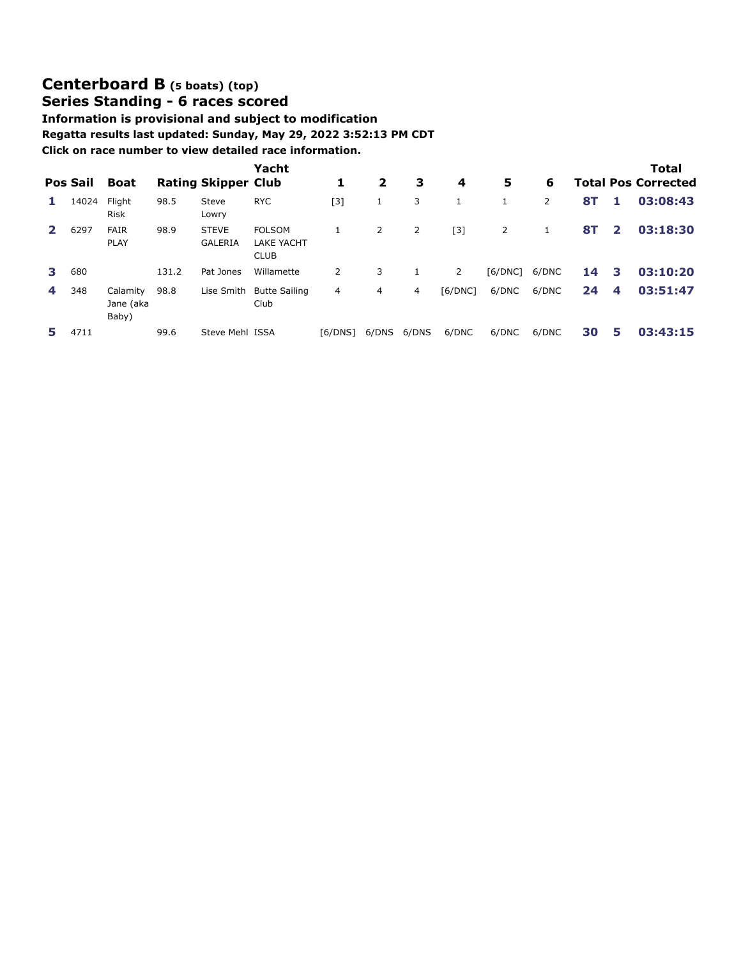# **[Centerboard B](https://www.regattanetwork.com/clubmgmt/applet_regatta_results.php?regatta_id=23645&preview=1&limit_fleet=Centerboard+B) (5 boats) [\(top\)](#page-0-0) Series Standing - 6 races scored**

### **Information is provisional and subject to modification Regatta results last updated: Sunday, May 29, 2022 3:52:13 PM CDT Click on race number to view detailed race information.**

|   | Pos Sail | Boat                           |       | <b>Rating Skipper Club</b>     | Yacht                                             | 1       | $\overline{2}$ | 3     | 4       | 5       | 6              |           |                         | Total<br><b>Total Pos Corrected</b> |
|---|----------|--------------------------------|-------|--------------------------------|---------------------------------------------------|---------|----------------|-------|---------|---------|----------------|-----------|-------------------------|-------------------------------------|
|   | 14024    | Flight<br><b>Risk</b>          | 98.5  | Steve<br>Lowry                 | <b>RYC</b>                                        | [3]     | 1              | 3     | 1       |         | $\overline{2}$ | <b>8T</b> | 1.                      | 03:08:43                            |
|   | 6297     | <b>FAIR</b><br><b>PLAY</b>     | 98.9  | <b>STEVE</b><br><b>GALERIA</b> | <b>FOLSOM</b><br><b>LAKE YACHT</b><br><b>CLUB</b> | 1       | 2              | 2     | $[3]$   | 2       | 1              | <b>8T</b> | $\overline{\mathbf{2}}$ | 03:18:30                            |
| 3 | 680      |                                | 131.2 | Pat Jones                      | Willamette                                        | 2       | 3              |       | 2       | [6/DNC] | 6/DNC          | 14        | 3                       | 03:10:20                            |
| 4 | 348      | Calamity<br>Jane (aka<br>Baby) | 98.8  | Lise Smith                     | <b>Butte Sailing</b><br>Club                      | 4       | 4              | 4     | [6/DNC] | 6/DNC   | 6/DNC          | 24        | 4                       | 03:51:47                            |
|   | 4711     |                                | 99.6  | Steve Mehl ISSA                |                                                   | [6/DNS] | 6/DNS          | 6/DNS | 6/DNC   | 6/DNC   | 6/DNC          | 30        | 5                       | 03:43:15                            |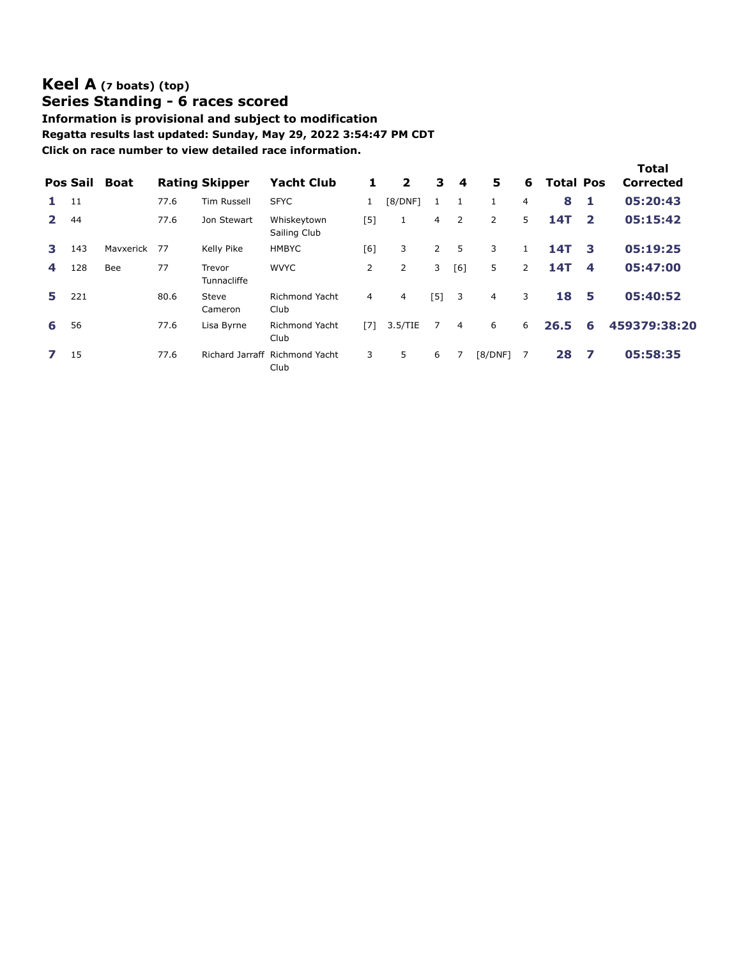## **[Keel A](https://www.regattanetwork.com/clubmgmt/applet_regatta_results.php?regatta_id=23645&preview=1&limit_fleet=Keel+A) (7 boats) [\(top\)](#page-0-0) Series Standing - 6 races scored**

**Information is provisional and subject to modification Regatta results last updated: Sunday, May 29, 2022 3:54:47 PM CDT Click on race number to view detailed race information.**

|              | Pos Sail | <b>Boat</b> |      | <b>Rating Skipper</b> | <b>Yacht Club</b>                      | 1              | $\overline{\mathbf{2}}$ | 3              | 4              | 5              | 6              | <b>Total Pos</b> |                         | <b>Total</b><br>Corrected |
|--------------|----------|-------------|------|-----------------------|----------------------------------------|----------------|-------------------------|----------------|----------------|----------------|----------------|------------------|-------------------------|---------------------------|
| 1.           | 11       |             | 77.6 | Tim Russell           | <b>SFYC</b>                            |                | [8/DNF]                 | $\mathbf{1}$   | 1              | $\mathbf{1}$   | $\overline{4}$ | 8                | 1                       | 05:20:43                  |
| $\mathbf{2}$ | 44       |             | 77.6 | Jon Stewart           | Whiskeytown<br>Sailing Club            | [5]            |                         | $\overline{4}$ | 2              | 2              | 5              | <b>14T</b>       | $\overline{\mathbf{2}}$ | 05:15:42                  |
| З.           | 143      | Mavxerick   | 77   | Kelly Pike            | <b>HMBYC</b>                           | [6]            | 3                       | $\overline{2}$ | 5              | 3              |                | 14T              | 3                       | 05:19:25                  |
| 4            | 128      | Bee         | 77   | Trevor<br>Tunnacliffe | <b>WVYC</b>                            | $\overline{2}$ | 2                       | 3              | [6]            | 5              | $\overline{2}$ | 14T              | 4                       | 05:47:00                  |
| 5.           | 221      |             | 80.6 | Steve<br>Cameron      | Richmond Yacht<br>Club                 | 4              | 4                       | [5]            | 3              | $\overline{4}$ | 3              | 18               | 5                       | 05:40:52                  |
| 6            | 56       |             | 77.6 | Lisa Byrne            | <b>Richmond Yacht</b><br>Club          | [7]            | 3.5/TIE                 | 7              | $\overline{4}$ | 6              | 6              | 26.5             | 6                       | 459379:38:20              |
|              | 15       |             | 77.6 |                       | Richard Jarraff Richmond Yacht<br>Club | 3              | 5                       | 6              | 7              | [8/DNF]        | 7              | 28               | - 7                     | 05:58:35                  |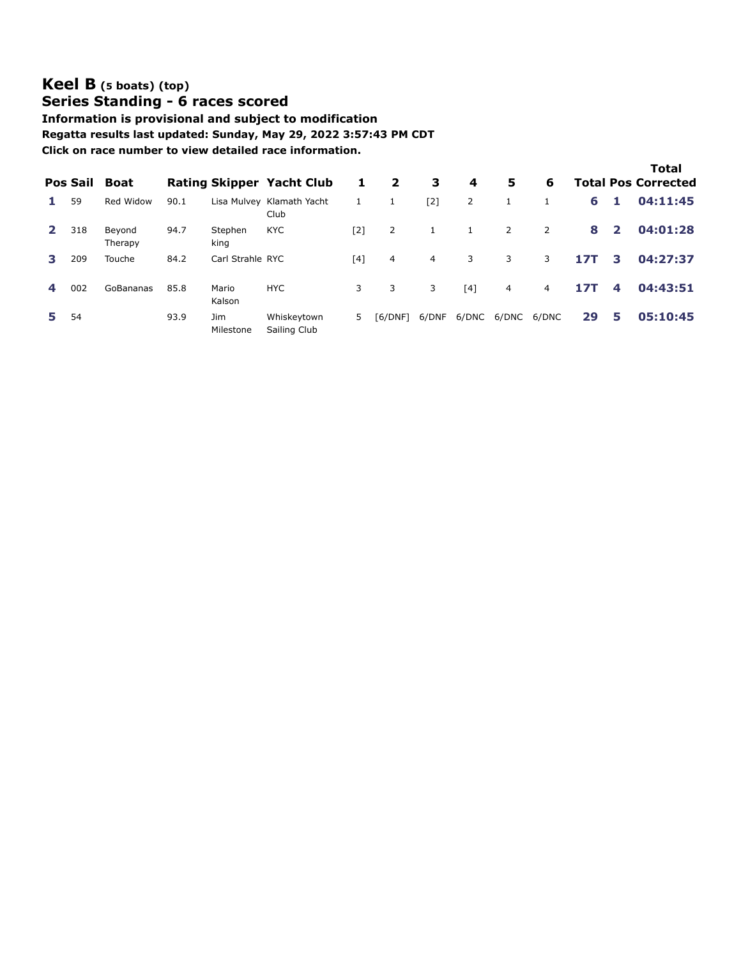## **[Keel B](https://www.regattanetwork.com/clubmgmt/applet_regatta_results.php?regatta_id=23645&preview=1&limit_fleet=Keel+B) (5 boats) [\(top\)](#page-0-0) Series Standing - 6 races scored**

**Information is provisional and subject to modification Regatta results last updated: Sunday, May 29, 2022 3:57:43 PM CDT Click on race number to view detailed race information.**

|              | <b>Pos Sail</b> | <b>Boat</b>       |      |                  | <b>Rating Skipper Yacht Club</b>  | 1     | $\mathbf{2}$   | 3     | 4     | 5              | 6              |            |                | <b>Total</b><br><b>Total Pos Corrected</b> |
|--------------|-----------------|-------------------|------|------------------|-----------------------------------|-------|----------------|-------|-------|----------------|----------------|------------|----------------|--------------------------------------------|
|              | 59              | Red Widow         | 90.1 |                  | Lisa Mulvey Klamath Yacht<br>Club |       | 1              | $[2]$ | 2     |                |                | 6          | 1              | 04:11:45                                   |
| $\mathbf{2}$ | 318             | Beyond<br>Therapy | 94.7 | Stephen<br>king  | <b>KYC</b>                        | [2]   | $\overline{2}$ |       |       | $\overline{2}$ | $\overline{2}$ | 8          | $\overline{2}$ | 04:01:28                                   |
| з.           | 209             | Touche            | 84.2 | Carl Strahle RYC |                                   | $[4]$ | 4              | 4     | 3     | 3              | 3              | <b>17T</b> | 3              | 04:27:37                                   |
|              | 002             | GoBananas         | 85.8 | Mario<br>Kalson  | <b>HYC</b>                        | 3     | 3              | 3     | [4]   | $\overline{4}$ | 4              | <b>17T</b> | 4              | 04:43:51                                   |
| 5.           | 54              |                   | 93.9 | Jim<br>Milestone | Whiskeytown<br>Sailing Club       | 5     | [6/DNF]        | 6/DNF | 6/DNC | 6/DNC          | 6/DNC          | 29         | 5              | 05:10:45                                   |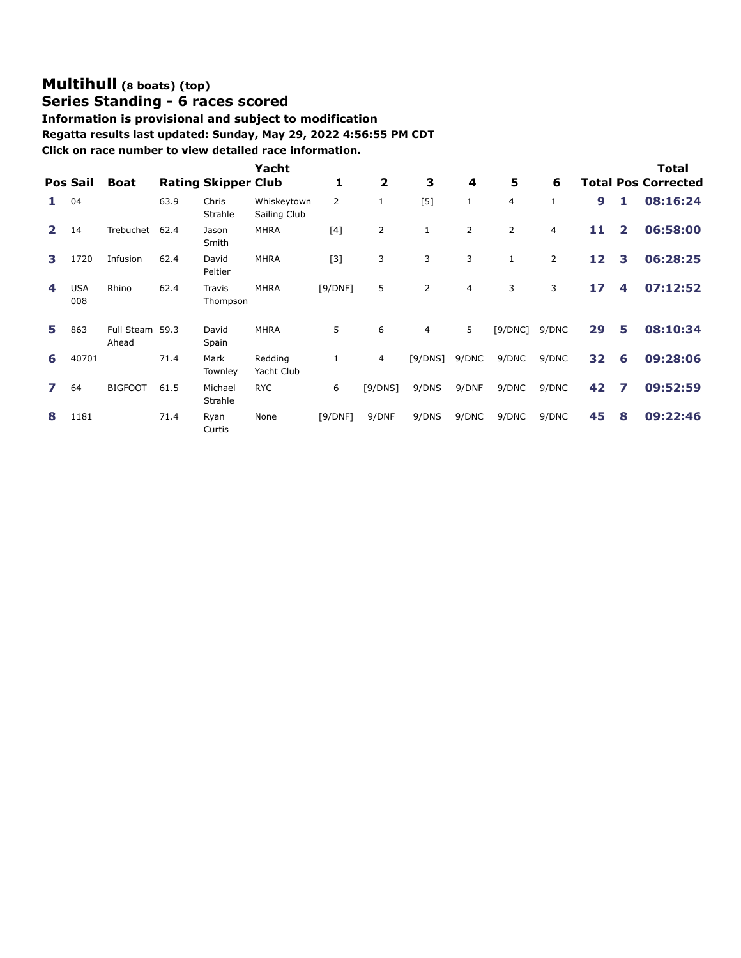# **[Multihull](https://www.regattanetwork.com/clubmgmt/applet_regatta_results.php?regatta_id=23645&preview=1&limit_fleet=Multihull) (8 boats) [\(top\)](#page-0-0)**

# **Series Standing - 6 races scored**

**Information is provisional and subject to modification Regatta results last updated: Sunday, May 29, 2022 4:56:55 PM CDT Click on race number to view detailed race information.**

|                |                   |                          |      |                            | Yacht                       |                |                         |                |       |                |                |                  |                | Total                      |
|----------------|-------------------|--------------------------|------|----------------------------|-----------------------------|----------------|-------------------------|----------------|-------|----------------|----------------|------------------|----------------|----------------------------|
|                | <b>Pos Sail</b>   | <b>Boat</b>              |      | <b>Rating Skipper Club</b> |                             | 1              | $\overline{\mathbf{2}}$ | 3              | 4     | 5              | 6              |                  |                | <b>Total Pos Corrected</b> |
|                | 04                |                          | 63.9 | Chris<br>Strahle           | Whiskeytown<br>Sailing Club | $\overline{2}$ | $\mathbf{1}$            | [5]            | 1     | 4              | 1              | $\boldsymbol{9}$ | 1              | 08:16:24                   |
| $\overline{2}$ | 14                | Trebuchet                | 62.4 | Jason<br>Smith             | <b>MHRA</b>                 | [4]            | 2                       | $\mathbf{1}$   | 2     | $\overline{2}$ | 4              | 11               | $\overline{2}$ | 06:58:00                   |
| з              | 1720              | Infusion                 | 62.4 | David<br>Peltier           | <b>MHRA</b>                 | $[3]$          | 3                       | 3              | 3     | 1              | $\overline{2}$ | 12               | 3              | 06:28:25                   |
| 4              | <b>USA</b><br>008 | Rhino                    | 62.4 | <b>Travis</b><br>Thompson  | <b>MHRA</b>                 | [9/DNF]        | 5                       | $\overline{2}$ | 4     | 3              | 3              | 17               | 4              | 07:12:52                   |
| 5              | 863               | Full Steam 59.3<br>Ahead |      | David<br>Spain             | <b>MHRA</b>                 | 5              | 6                       | 4              | 5     | [9/DNC]        | 9/DNC          | 29               | 5              | 08:10:34                   |
| 6              | 40701             |                          | 71.4 | Mark<br>Townley            | Redding<br>Yacht Club       |                | 4                       | [9/DNS]        | 9/DNC | 9/DNC          | 9/DNC          | 32               | 6              | 09:28:06                   |
|                | 64                | <b>BIGFOOT</b>           | 61.5 | Michael<br>Strahle         | <b>RYC</b>                  | 6              | [9/DNS]                 | 9/DNS          | 9/DNF | 9/DNC          | 9/DNC          | 42               | 7              | 09:52:59                   |
| 8              | 1181              |                          | 71.4 | Ryan<br>Curtis             | None                        | [9/DNF]        | 9/DNF                   | 9/DNS          | 9/DNC | 9/DNC          | 9/DNC          | 45               | 8              | 09:22:46                   |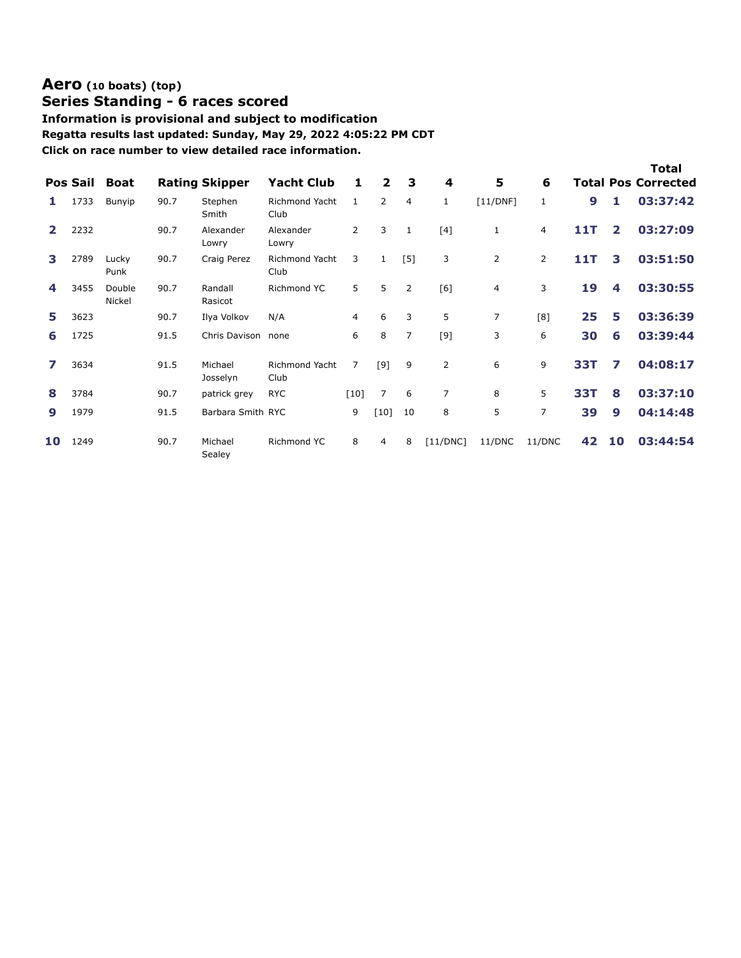### **[Aero](https://www.regattanetwork.com/clubmgmt/applet_regatta_results.php?regatta_id=23645&preview=1&limit_fleet=Aero) (10 boats) [\(top\)](#page-0-0) Series Standing - 6 races scored**

### **Information is provisional and subject to modification Regatta results last updated: Sunday, May 29, 2022 4:05:22 PM CDT Click on race number to view detailed race information.**

|    | <b>Pos Sail</b> | <b>Boat</b>      |      | <b>Rating Skipper</b> | <b>Yacht Club</b>             | 1              | $\overline{2}$ | 3              | 4            | 5              | 6              |            |                | Total<br><b>Total Pos Corrected</b> |
|----|-----------------|------------------|------|-----------------------|-------------------------------|----------------|----------------|----------------|--------------|----------------|----------------|------------|----------------|-------------------------------------|
|    | 1733            | Bunyip           | 90.7 | Stephen<br>Smith      | Richmond Yacht<br>Club        | $\mathbf{1}$   | $\overline{2}$ | $\overline{4}$ | $\mathbf{1}$ | [11/DNF]       | $\mathbf{1}$   | 9          | 1.             | 03:37:42                            |
|    | 2232            |                  | 90.7 | Alexander<br>Lowry    | Alexander<br>Lowry            | $\overline{2}$ | 3              | $\mathbf{1}$   | [4]          | 1              | 4              | 11T        | $\overline{2}$ | 03:27:09                            |
| 3  | 2789            | Lucky<br>Punk    | 90.7 | Craig Perez           | <b>Richmond Yacht</b><br>Club | 3              | $\mathbf{1}$   | $[5]$          | 3            | 2              | $\overline{2}$ | 11T        | 3              | 03:51:50                            |
| 4  | 3455            | Double<br>Nickel | 90.7 | Randall<br>Rasicot    | Richmond YC                   | 5              | 5              | 2              | [6]          | 4              | 3              | 19         | 4              | 03:30:55                            |
| 5  | 3623            |                  | 90.7 | Ilya Volkov           | N/A                           | $\overline{4}$ | 6              | 3              | 5            | $\overline{7}$ | [8]            | 25         | 5              | 03:36:39                            |
| 6  | 1725            |                  | 91.5 | Chris Davison         | none                          | 6              | 8              | $\overline{7}$ | $[9]$        | 3              | 6              | 30         | 6              | 03:39:44                            |
|    | 3634            |                  | 91.5 | Michael<br>Josselyn   | <b>Richmond Yacht</b><br>Club | 7              | [9]            | 9              | 2            | 6              | 9              | 33T        | 7              | 04:08:17                            |
| 8  | 3784            |                  | 90.7 | patrick grey          | <b>RYC</b>                    | [10]           | $\overline{7}$ | 6              | 7            | 8              | 5              | <b>33T</b> | 8              | 03:37:10                            |
| 9  | 1979            |                  | 91.5 | Barbara Smith RYC     |                               | 9              | $[10]$         | 10             | 8            | 5              | 7              | 39         | 9              | 04:14:48                            |
| 10 | 1249            |                  | 90.7 | Michael<br>Sealey     | Richmond YC                   | 8              | $\overline{4}$ | 8              | [11/DNC]     | 11/DNC         | 11/DNC         | 42         | 10             | 03:44:54                            |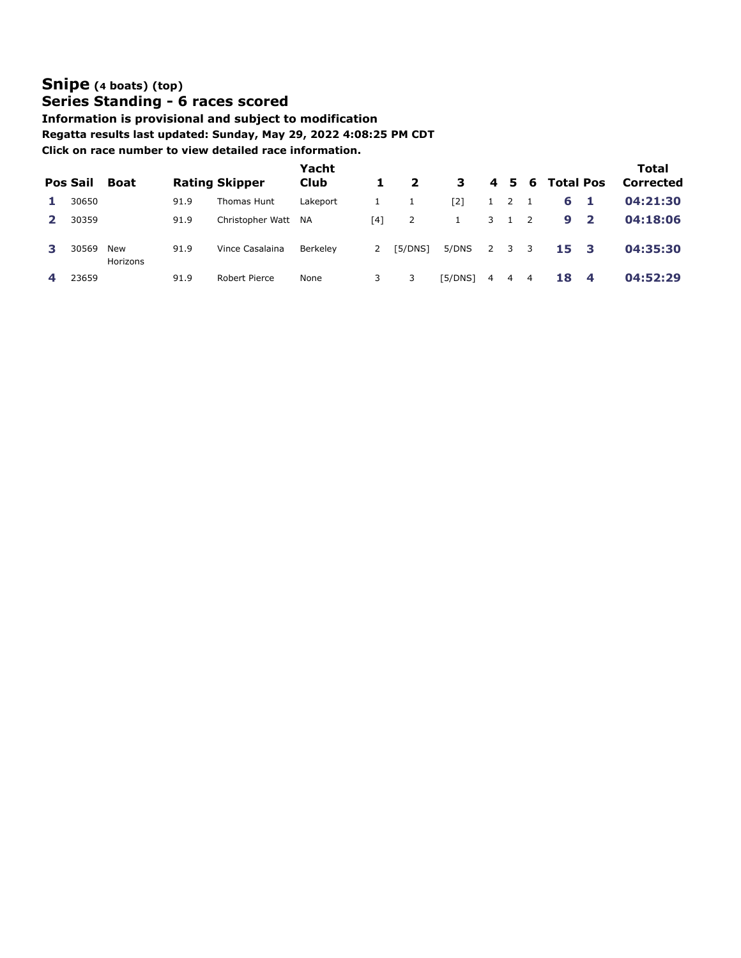# **[Snipe](https://www.regattanetwork.com/clubmgmt/applet_regatta_results.php?regatta_id=23645&preview=1&limit_fleet=Snipe) (4 boats) [\(top\)](#page-0-0) Series Standing - 6 races scored**

**Information is provisional and subject to modification Regatta results last updated: Sunday, May 29, 2022 4:08:25 PM CDT Click on race number to view detailed race information.**

| Pos Sail | <b>Boat</b>     |      | <b>Rating Skipper</b> | Yacht<br><b>Club</b> |     | $\overline{\mathbf{2}}$ | 3       |   |   |                          | 4 5 6 Total Pos |                         | Total<br>Corrected |
|----------|-----------------|------|-----------------------|----------------------|-----|-------------------------|---------|---|---|--------------------------|-----------------|-------------------------|--------------------|
| 30650    |                 | 91.9 | Thomas Hunt           | Lakeport             |     |                         | [2]     |   | 2 |                          | 6               | - 1                     | 04:21:30           |
| 30359    |                 | 91.9 | Christopher Watt      | <b>NA</b>            | [4] | 2                       | 1       | 3 |   | $\overline{\phantom{0}}$ | 9               | $\overline{\mathbf{2}}$ | 04:18:06           |
| 30569    | New<br>Horizons | 91.9 | Vince Casalaina       | Berkelev             | 2   | [5/DNS]                 | 5/DNS   | 2 | 3 | $\overline{\mathbf{3}}$  | 15              | - 3                     | 04:35:30           |
| 23659    |                 | 91.9 | Robert Pierce         | None                 |     |                         | [5/DNS] | 4 | 4 | $\overline{4}$           | 18              | 4                       | 04:52:29           |